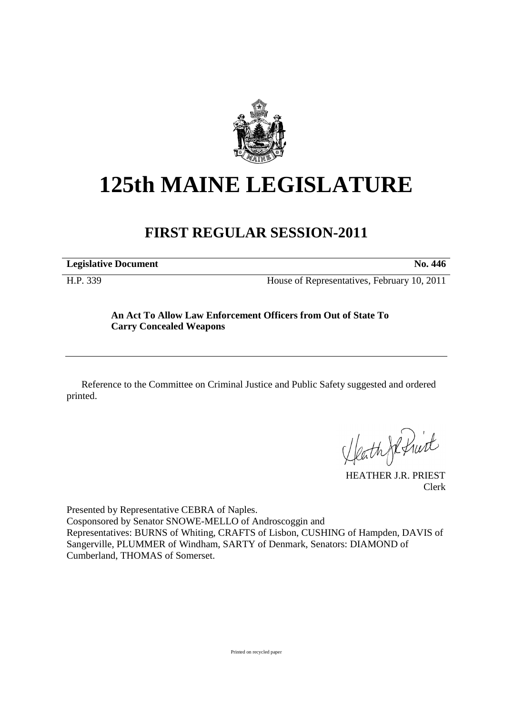

## **125th MAINE LEGISLATURE**

## **FIRST REGULAR SESSION-2011**

**Legislative Document** No. 446

H.P. 339 House of Representatives, February 10, 2011

## **An Act To Allow Law Enforcement Officers from Out of State To Carry Concealed Weapons**

Reference to the Committee on Criminal Justice and Public Safety suggested and ordered printed.

Heath Je frit

HEATHER J.R. PRIEST Clerk

Presented by Representative CEBRA of Naples. Cosponsored by Senator SNOWE-MELLO of Androscoggin and Representatives: BURNS of Whiting, CRAFTS of Lisbon, CUSHING of Hampden, DAVIS of Sangerville, PLUMMER of Windham, SARTY of Denmark, Senators: DIAMOND of Cumberland, THOMAS of Somerset.